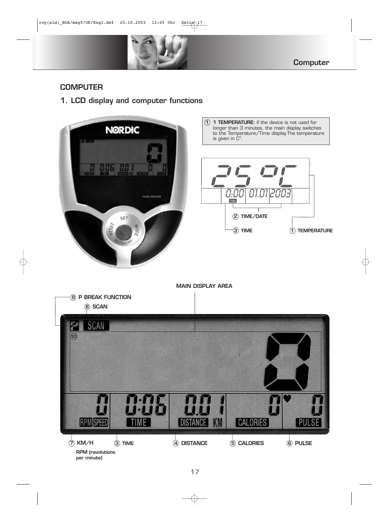

# **COMPUTER**

**1. LCD display and computer functions**







**MAIN DISPLAY AREA**

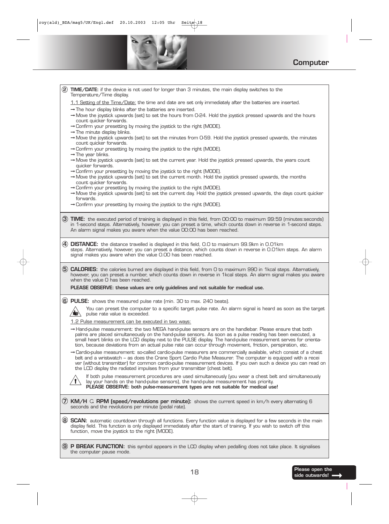F



**Computer**

|                | (2) TIME/DATE: if the device is not used for longer than 3 minutes, the main display switches to the<br>Temperature/Time display.                                                                                                                                                                                                                                                                                                                                   |  |  |  |  |
|----------------|---------------------------------------------------------------------------------------------------------------------------------------------------------------------------------------------------------------------------------------------------------------------------------------------------------------------------------------------------------------------------------------------------------------------------------------------------------------------|--|--|--|--|
|                | 1.1 Setting of the Time/Date: the time and date are set only immediately after the batteries are inserted.                                                                                                                                                                                                                                                                                                                                                          |  |  |  |  |
|                | $\rightarrow$ The hour display blinks after the batteries are inserted.<br>$\rightarrow$ Move the joystick upwards (set) to set the hours from O-24. Hold the joystick pressed upwards and the hours<br>count quicker forwards.                                                                                                                                                                                                                                     |  |  |  |  |
|                | → Confirm your presetting by moving the joystick to the right (MODE).<br>$\rightarrow$ The minute display blinks.                                                                                                                                                                                                                                                                                                                                                   |  |  |  |  |
|                | $\rightarrow$ Move the joystick upwards (set) to set the minutes from O-59. Hold the joystick pressed upwards, the minutes<br>count quicker forwards.                                                                                                                                                                                                                                                                                                               |  |  |  |  |
|                | $\rightarrow$ Confirm your presetting by moving the joystick to the right (MODE).<br>$\rightarrow$ The year blinks.                                                                                                                                                                                                                                                                                                                                                 |  |  |  |  |
|                | $\rightarrow$ Move the joystick upwards (set) to set the current year. Hold the joystick pressed upwards, the years count<br>quicker forwards.                                                                                                                                                                                                                                                                                                                      |  |  |  |  |
|                | $\rightarrow$ Confirm your presetting by moving the joystick to the right (MODE).<br>$\rightarrow$ Move the joystick upwards (set) to set the current month. Hold the joystick pressed upwards, the months<br>count quicker forwards.                                                                                                                                                                                                                               |  |  |  |  |
|                | → Confirm your presetting by moving the joystick to the right (MODE).<br>$\rightarrow$ Move the joystick upwards (set) to set the current day. Hold the joystick pressed upwards, the days count quicker                                                                                                                                                                                                                                                            |  |  |  |  |
|                | forwards.<br>→ Confirm your presetting by moving the joystick to the right (MODE).                                                                                                                                                                                                                                                                                                                                                                                  |  |  |  |  |
|                |                                                                                                                                                                                                                                                                                                                                                                                                                                                                     |  |  |  |  |
|                | (3) TIME: the executed period of training is displayed in this field, from 00:00 to maximum 99:59 (minutes:seconds)<br>in 1-second steps. Alternatively, however, you can preset a time, which counts down in reverse in 1-second steps.<br>An alarm signal makes you aware when the value OO:OO has been reached.                                                                                                                                                  |  |  |  |  |
| $\bf(4)$       | <b>DISTANCE:</b> the distance travelled is displayed in this field, 0.0 to maximum 99.9km in 0.01km                                                                                                                                                                                                                                                                                                                                                                 |  |  |  |  |
|                | steps. Alternatively, however, you can preset a distance, which counts down in reverse in O.O1km steps. An alarm<br>signal makes you aware when the value 0.00 has been reached.                                                                                                                                                                                                                                                                                    |  |  |  |  |
|                | (5) CALORIES: the calories burned are displayed in this field, from O to maximum 990 in 1kcal steps. Alternatively,<br>however, you can preset a number, which counts down in reverse in 1kcal steps. An alarm signal makes you aware<br>when the value O has been reached.                                                                                                                                                                                         |  |  |  |  |
|                | PLEASE OBSERVE: these values are only guidelines and not suitable for medical use.                                                                                                                                                                                                                                                                                                                                                                                  |  |  |  |  |
|                | 6 PULSE: shows the measured pulse rate (min. 30 to max. 240 beats).                                                                                                                                                                                                                                                                                                                                                                                                 |  |  |  |  |
|                | You can preset the computer to a specific target pulse rate. An alarm signal is heard as soon as the target<br>i gr<br>pulse rate value is exceeded.                                                                                                                                                                                                                                                                                                                |  |  |  |  |
|                | 1.2 Pulse measurement can be executed in two ways:                                                                                                                                                                                                                                                                                                                                                                                                                  |  |  |  |  |
|                | $\rightarrow$ Hand-pulse measurement: the two MEGA hand-pulse sensors are on the handlebar. Please ensure that both<br>palms are placed simultaneously on the hand-pulse sensors. As soon as a pulse reading has been executed, a<br>small heart blinks on the LCD display next to the PULSE display. The hand-pulse measurement serves for orienta-<br>tion, because deviations from an actual pulse rate can occur through movement, friction, perspiration, etc. |  |  |  |  |
|                | $\rightarrow$ Cardio-pulse measurement: so-called cardio-pulse measurers are commercially available, which consist of a chest<br>belt and a wristwatch - as does the Crane Sport Cardio Pulse Measurer. The computer is equipped with a recei<br>ver (without transmitter) for common cardio-pulse measurement devices. If you own such a device you can read on<br>the LCD display the radiated impulses from your transmitter (chest belt).                       |  |  |  |  |
|                | If both pulse measurement procedures are used simultaneously (you wear a chest belt and simultaneously<br>lay your hands on the hand-pulse sensors), the hand-pulse measurement has priority.<br>PLEASE OBSERVE: both pulse-measurement types are not suitable for medical use!                                                                                                                                                                                     |  |  |  |  |
|                | (7) KM/H G RPM (speed/revolutions per minute): shows the current speed in km/h every alternating 6<br>seconds and the revolutions per minute (pedal rate).                                                                                                                                                                                                                                                                                                          |  |  |  |  |
|                | (8) SCAN: automatic countdown through all functions. Every function value is displayed for a few seconds in the main<br>display field. This function is only displayed immediately after the start of training. If you wish to switch off this<br>function, move the joystick to the right (MODE).                                                                                                                                                                  |  |  |  |  |
| $\mathbf{(9)}$ | <b>P BREAK FUNCTION:</b> this symbol appears in the LCD display when pedalling does not take place. It signalises<br>the computer pause mode.                                                                                                                                                                                                                                                                                                                       |  |  |  |  |

 $\overline{\phantom{a}}$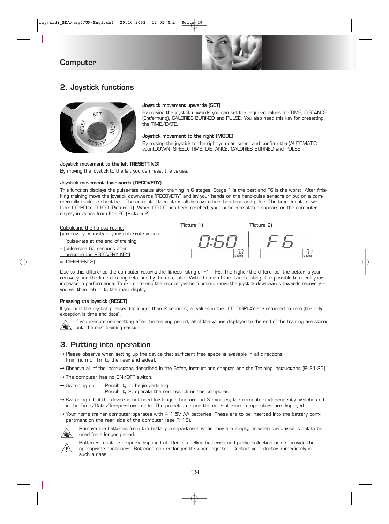

### **Computer**

### **2. Joystick functions**



#### **Joystick movement upwards (SET)**

By moving the joystick upwards you can set the required values for TIME, DISTANCE (Entfernung), CALORIES BURNED and PULSE. You also need this key for presetting the TIME/DATE.

#### **Joystick movement to the right (MODE)**

By moving the joystick to the right you can select and confirm the (AUTOMATIC countDOWN, SPEED, TIME, DISTANCE, CALORIES BURNED and PULSE).

#### **Joystick movement to the left (RESETTING)**

By moving the joystick to the left you can reset the values.

#### **Joystick movement downwards (RECOVERY)**

This function displays the pulse-rate status after training in 6 stages. Stage 1 is the best and F6 is the worst. After finishing training move the joystick downwards (RECOVERY) and lay your hands on the hand-pulse sensors or put on a commercially available chest belt. The computer then stops all displays other than time and pulse. The time counts down from 00:60 to 00:00 (Picture 1). When 00:00 has been reached, your pulse-rate status appears on the computer display in values from F1– F6 (Picture 2).



Due to this difference the computer returns the fitness rating of F1 – F6. The higher the difference, the better is your recovery and the fitness rating returned by the computer. With the aid of the fitness rating, it is possible to check your increase in performance. To exit or to end the recovery-value function, move the joystick downwards towards recovery – you will then return to the main display.

#### **Pressing the joystick (RESET)**

If you hold the joystick pressed for longer than 2 seconds, all values in the LCD DISPLAY are returned to zero (the only exception is time and date).

If you execute no resetting after the training period, all of the values displayed to the end of the training are stored until the next training session.

### **3. Putting into operation**

- ➞ Please observe when setting up the device that sufficient free space is available in all directions (minimum of 1m to the rear and sides).
- ➞ Observe all of the instructions described in the Safety Instructions chapter and the Training Instructions (P. 21-23)
- ➞ The computer has no ON/OFF switch.
- → Switching on : Possibility 1: begin pedalling.
	- Possibility 2: operate the red joystick on the computer.
- ➞ Switching off: if the device is not used for longer than around 3 minutes, the computer independently switches off in the Time/Date/Temperature mode. The preset time and the current room temperature are displayed.

➞ Your home trainer computer operates with 4 1.5V AA batteries. These are to be inserted into the battery compartment on the rear side of the computer (see P. 16).



Remove the batteries from the battery compartment when they are empty, or when the device is not to be used for a longer period.



Batteries must be properly disposed of. Dealers selling batteries and public collection points provide the appropriate containers. Batteries can endanger life when ingested. Contact your doctor immediately in such a case.